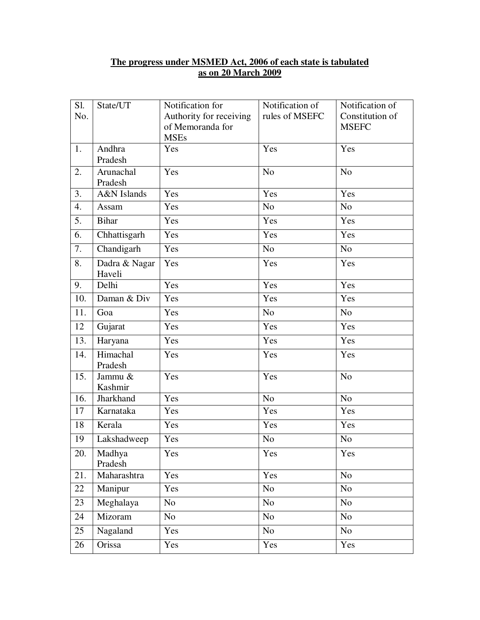## **The progress under MSMED Act, 2006 of each state is tabulated as on 20 March 2009**

| Sl. | State/UT                | Notification for                | Notification of | Notification of |
|-----|-------------------------|---------------------------------|-----------------|-----------------|
| No. |                         | Authority for receiving         | rules of MSEFC  | Constitution of |
|     |                         | of Memoranda for<br><b>MSEs</b> |                 | <b>MSEFC</b>    |
| 1.  | Andhra                  | Yes                             | Yes             | Yes             |
|     | Pradesh                 |                                 |                 |                 |
| 2.  | Arunachal               | Yes                             | N <sub>o</sub>  | N <sub>o</sub>  |
|     | Pradesh                 |                                 |                 |                 |
| 3.  | A&N Islands             | Yes                             | Yes             | Yes             |
| 4.  | Assam                   | Yes                             | N <sub>o</sub>  | N <sub>o</sub>  |
| 5.  | <b>Bihar</b>            | Yes                             | Yes             | Yes             |
| 6.  | Chhattisgarh            | Yes                             | Yes             | Yes             |
| 7.  | Chandigarh              | Yes                             | N <sub>o</sub>  | N <sub>o</sub>  |
| 8.  | Dadra & Nagar<br>Haveli | Yes                             | Yes             | Yes             |
| 9.  | Delhi                   | Yes                             | Yes             | Yes             |
| 10. | Daman & Div             | Yes                             | Yes             | Yes             |
| 11. | Goa                     | Yes                             | N <sub>o</sub>  | N <sub>o</sub>  |
| 12  | Gujarat                 | Yes                             | Yes             | Yes             |
| 13. | Haryana                 | Yes                             | Yes             | Yes             |
| 14. | Himachal<br>Pradesh     | Yes                             | Yes             | Yes             |
| 15. | Jammu &<br>Kashmir      | Yes                             | Yes             | N <sub>o</sub>  |
| 16. | Jharkhand               | Yes                             | N <sub>o</sub>  | N <sub>o</sub>  |
| 17  | Karnataka               | Yes                             | Yes             | Yes             |
| 18  | Kerala                  | Yes                             | Yes             | Yes             |
| 19  | Lakshadweep             | Yes                             | N <sub>o</sub>  | N <sub>o</sub>  |
| 20. | Madhya<br>Pradesh       | Yes                             | Yes             | Yes             |
| 21. | Maharashtra             | Yes                             | Yes             | N <sub>o</sub>  |
| 22  | Manipur                 | Yes                             | N <sub>o</sub>  | No              |
| 23  | Meghalaya               | N <sub>o</sub>                  | N <sub>o</sub>  | No              |
| 24  | Mizoram                 | N <sub>o</sub>                  | N <sub>o</sub>  | No              |
| 25  | Nagaland                | Yes                             | N <sub>o</sub>  | N <sub>o</sub>  |
| 26  | Orissa                  | Yes                             | Yes             | Yes             |